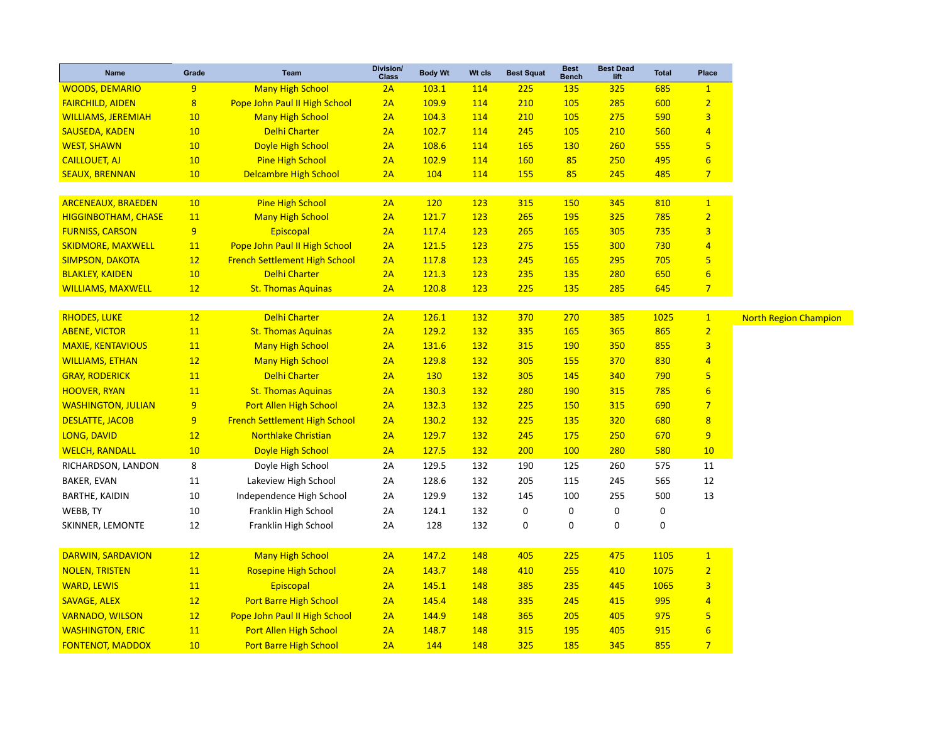| <b>Name</b>                | Grade                   | <b>Team</b>                          | Division/<br><b>Class</b> | <b>Body Wt</b> | Wt cls     | <b>Best Squat</b> | <b>Best</b><br><b>Bench</b> | <b>Best Dead</b><br>lift | <b>Total</b> | Place           |
|----------------------------|-------------------------|--------------------------------------|---------------------------|----------------|------------|-------------------|-----------------------------|--------------------------|--------------|-----------------|
| <b>WOODS, DEMARIO</b>      | 9                       | <b>Many High School</b>              | 2A                        | 103.1          | 114        | 225               | <b>135</b>                  | 325                      | 685          | $\mathbf{1}$    |
| <b>FAIRCHILD, AIDEN</b>    | $\overline{\mathbf{8}}$ | Pope John Paul II High School        | 2A                        | 109.9          | 114        | 210               | 105                         | 285                      | 600          | $\overline{2}$  |
| <b>WILLIAMS, JEREMIAH</b>  | 10                      | <b>Many High School</b>              | 2A                        | 104.3          | 114        | 210               | 105                         | 275                      | 590          | 3               |
| <b>SAUSEDA, KADEN</b>      | 10                      | <b>Delhi Charter</b>                 | 2A                        | 102.7          | 114        | 245               | 105                         | 210                      | 560          | 4               |
| <b>WEST, SHAWN</b>         | 10                      | Doyle High School                    | 2A                        | 108.6          | 114        | <b>165</b>        | <b>130</b>                  | 260                      | 555          | 5               |
| <b>CAILLOUET, AJ</b>       | 10                      | <b>Pine High School</b>              | 2A                        | 102.9          | 114        | <b>160</b>        | 85                          | 250                      | 495          | $6\phantom{1}6$ |
| <b>SEAUX, BRENNAN</b>      | 10                      | <b>Delcambre High School</b>         | 2A                        | 104            | 114        | <b>155</b>        | 85                          | 245                      | 485          | $\overline{7}$  |
|                            |                         |                                      |                           |                |            |                   |                             |                          |              |                 |
| <b>ARCENEAUX, BRAEDEN</b>  | 10 <sup>°</sup>         | <b>Pine High School</b>              | 2A                        | <b>120</b>     | 123        | 315               | 150                         | 345                      | 810          | $\mathbf{1}$    |
| <b>HIGGINBOTHAM, CHASE</b> | 11                      | <b>Many High School</b>              | 2A                        | 121.7          | 123        | 265               | 195                         | 325                      | 785          | $\overline{2}$  |
| <b>FURNISS, CARSON</b>     | 9                       | Episcopal                            | 2A                        | 117.4          | 123        | 265               | 165                         | 305                      | 735          | 3               |
| <b>SKIDMORE, MAXWELL</b>   | 11                      | Pope John Paul II High School        | 2A                        | 121.5          | 123        | 275               | <b>155</b>                  | 300                      | 730          | 4               |
| <b>SIMPSON, DAKOTA</b>     | 12                      | <b>French Settlement High School</b> | 2A                        | 117.8          | 123        | 245               | 165                         | 295                      | 705          | 5               |
| <b>BLAKLEY, KAIDEN</b>     | 10                      | <b>Delhi Charter</b>                 | 2A                        | 121.3          | 123        | 235               | <b>135</b>                  | 280                      | 650          | $6\overline{6}$ |
| <b>WILLIAMS, MAXWELL</b>   | 12                      | <b>St. Thomas Aquinas</b>            | 2A                        | 120.8          | 123        | 225               | <b>135</b>                  | 285                      | 645          | $\overline{7}$  |
| <b>RHODES, LUKE</b>        | 12                      | Delhi Charter                        | 2A                        | 126.1          | 132        | 370               | 270                         | 385                      | 1025         | $\mathbf{1}$    |
| <b>ABENE, VICTOR</b>       | 11                      | <b>St. Thomas Aquinas</b>            | 2A                        | 129.2          | 132        | 335               | 165                         | 365                      | 865          | $\overline{2}$  |
| <b>MAXIE, KENTAVIOUS</b>   | 11                      | <b>Many High School</b>              | 2A                        | 131.6          | <b>132</b> | 315               | <b>190</b>                  | 350                      | 855          | 3               |
| <b>WILLIAMS, ETHAN</b>     | 12                      | <b>Many High School</b>              | 2A                        | 129.8          | 132        | 305               | <b>155</b>                  | 370                      | 830          | $\overline{4}$  |
| <b>GRAY, RODERICK</b>      | <b>11</b>               | <b>Delhi Charter</b>                 | 2A                        | <b>130</b>     | <b>132</b> | 305               | 145                         | 340                      | 790          | 5               |
| <b>HOOVER, RYAN</b>        | 11                      | <b>St. Thomas Aquinas</b>            | 2A                        | 130.3          | <b>132</b> | 280               | <b>190</b>                  | 315                      | 785          | $6\phantom{1}6$ |
| <b>WASHINGTON, JULIAN</b>  | 9                       | <b>Port Allen High School</b>        | 2A                        | 132.3          | <b>132</b> | 225               | 150                         | 315                      | 690          | $\overline{7}$  |
| <b>DESLATTE, JACOB</b>     | 9                       | <b>French Settlement High School</b> | 2A                        | 130.2          | <b>132</b> | 225               | <b>135</b>                  | 320                      | 680          | $\overline{8}$  |
| LONG, DAVID                | 12                      | <b>Northlake Christian</b>           | 2A                        | 129.7          | 132        | 245               | 175                         | 250                      | 670          | 9               |
| <b>WELCH, RANDALL</b>      | 10                      | Doyle High School                    | 2A                        | 127.5          | 132        | 200               | 100                         | 280                      | 580          | 10              |
| RICHARDSON, LANDON         | 8                       | Doyle High School                    | 2A                        | 129.5          | 132        | 190               | 125                         | 260                      | 575          | 11              |
| BAKER, EVAN                | 11                      | Lakeview High School                 | 2A                        | 128.6          | 132        | 205               | 115                         | 245                      | 565          | 12              |
| <b>BARTHE, KAIDIN</b>      | 10                      | Independence High School             | 2A                        | 129.9          | 132        | 145               | 100                         | 255                      | 500          | 13              |
| WEBB, TY                   | 10                      | Franklin High School                 | 2A                        | 124.1          | 132        | 0                 | 0                           | 0                        | $\pmb{0}$    |                 |
| SKINNER, LEMONTE           | 12                      | Franklin High School                 | 2A                        | 128            | 132        | $\mathbf 0$       | 0                           | $\mathbf 0$              | $\mathbf 0$  |                 |
|                            |                         |                                      |                           |                |            |                   |                             |                          |              |                 |
| DARWIN, SARDAVION          | 12                      | <b>Many High School</b>              | 2A                        | 147.2          | 148        | 405               | 225                         | 475                      | 1105         | $\mathbf{1}$    |
| <b>NOLEN, TRISTEN</b>      | 11                      | <b>Rosepine High School</b>          | 2A                        | 143.7          | 148        | 410               | 255                         | 410                      | 1075         | $\overline{2}$  |
| <b>WARD, LEWIS</b>         | 11                      | Episcopal                            | 2A                        | 145.1          | 148        | 385               | 235                         | 445                      | 1065         | 3               |
| <b>SAVAGE, ALEX</b>        | 12                      | Port Barre High School               | 2A                        | 145.4          | 148        | 335               | 245                         | 415                      | 995          | $\overline{4}$  |
| <b>VARNADO, WILSON</b>     | 12                      | Pope John Paul II High School        | 2A                        | 144.9          | 148        | 365               | 205                         | 405                      | 975          | 5               |
| <b>WASHINGTON, ERIC</b>    | 11                      | Port Allen High School               | 2A                        | 148.7          | 148        | 315               | 195                         | 405                      | 915          | $6\overline{6}$ |
| <b>FONTENOT, MADDOX</b>    | 10                      | <b>Port Barre High School</b>        | 2A                        | 144            | 148        | 325               | 185                         | 345                      | 855          | $\overline{7}$  |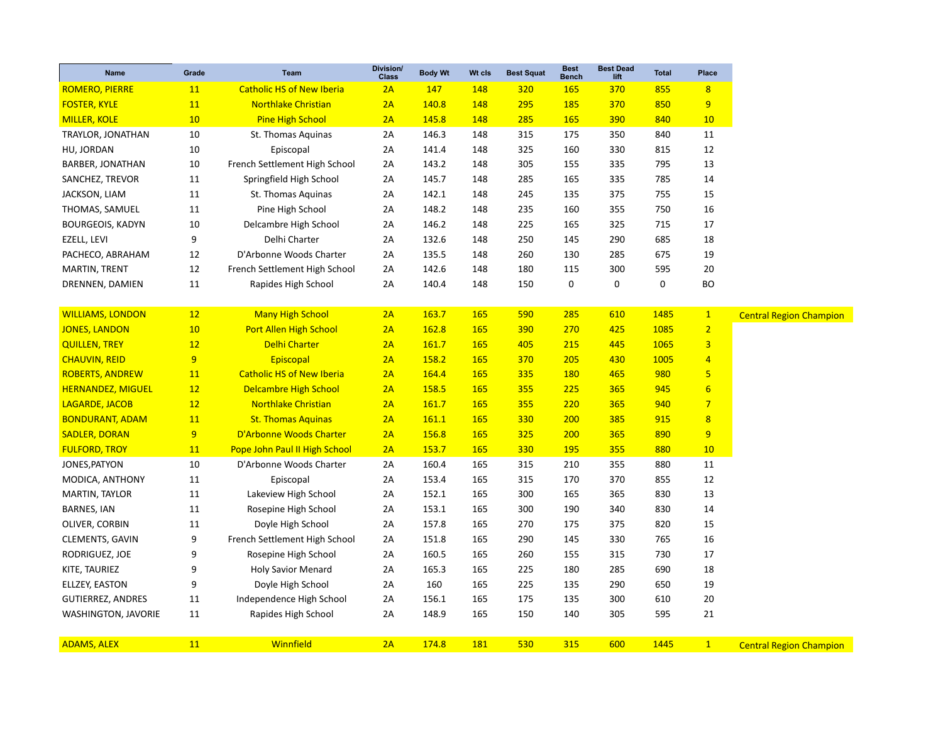| <b>Name</b>                | Grade | <b>Team</b>                      | Division/<br><b>Class</b> | <b>Body Wt</b> | Wt cls     | <b>Best Squat</b> | <b>Best</b><br><b>Bench</b> | <b>Best Dead</b><br>lift | <b>Total</b> | <b>Place</b>   |
|----------------------------|-------|----------------------------------|---------------------------|----------------|------------|-------------------|-----------------------------|--------------------------|--------------|----------------|
| <b>ROMERO, PIERRE</b>      | 11    | <b>Catholic HS of New Iberia</b> | 2A                        | 147            | 148        | 320               | <b>165</b>                  | 370                      | 855          | 8              |
| <b>FOSTER, KYLE</b>        | 11    | <b>Northlake Christian</b>       | 2A                        | 140.8          | 148        | 295               | 185                         | 370                      | 850          | 9              |
| <b>MILLER, KOLE</b>        | 10    | <b>Pine High School</b>          | 2A                        | 145.8          | 148        | 285               | <b>165</b>                  | 390                      | 840          | 10             |
| TRAYLOR, JONATHAN          | 10    | St. Thomas Aquinas               | 2A                        | 146.3          | 148        | 315               | 175                         | 350                      | 840          | 11             |
| HU, JORDAN                 | 10    | Episcopal                        | 2A                        | 141.4          | 148        | 325               | 160                         | 330                      | 815          | 12             |
| <b>BARBER, JONATHAN</b>    | 10    | French Settlement High School    | 2A                        | 143.2          | 148        | 305               | 155                         | 335                      | 795          | 13             |
| SANCHEZ, TREVOR            | 11    | Springfield High School          | 2A                        | 145.7          | 148        | 285               | 165                         | 335                      | 785          | 14             |
| JACKSON, LIAM              | 11    | St. Thomas Aquinas               | 2A                        | 142.1          | 148        | 245               | 135                         | 375                      | 755          | 15             |
| THOMAS, SAMUEL             | 11    | Pine High School                 | 2A                        | 148.2          | 148        | 235               | 160                         | 355                      | 750          | 16             |
| <b>BOURGEOIS, KADYN</b>    | 10    | Delcambre High School            | 2A                        | 146.2          | 148        | 225               | 165                         | 325                      | 715          | 17             |
| EZELL, LEVI                | 9     | Delhi Charter                    | 2A                        | 132.6          | 148        | 250               | 145                         | 290                      | 685          | 18             |
| PACHECO, ABRAHAM           | 12    | D'Arbonne Woods Charter          | 2A                        | 135.5          | 148        | 260               | 130                         | 285                      | 675          | 19             |
| MARTIN, TRENT              | 12    | French Settlement High School    | 2A                        | 142.6          | 148        | 180               | 115                         | 300                      | 595          | 20             |
| DRENNEN, DAMIEN            | 11    | Rapides High School              | 2A                        | 140.4          | 148        | 150               | $\pmb{0}$                   | 0                        | 0            | <b>BO</b>      |
|                            |       |                                  |                           |                |            |                   |                             |                          |              |                |
| <b>WILLIAMS, LONDON</b>    | 12    | <b>Many High School</b>          | 2A                        | 163.7          | 165        | 590               | 285                         | 610                      | 1485         | $\mathbf{1}$   |
| <b>JONES, LANDON</b>       | 10    | Port Allen High School           | 2A                        | 162.8          | <b>165</b> | 390               | 270                         | 425                      | 1085         | $\overline{2}$ |
| <b>QUILLEN, TREY</b>       | 12    | <b>Delhi Charter</b>             | 2A                        | 161.7          | 165        | 405               | 215                         | 445                      | 1065         | $\overline{3}$ |
| <b>CHAUVIN, REID</b>       | 9     | Episcopal                        | 2A                        | 158.2          | 165        | 370               | 205                         | 430                      | 1005         | $\overline{4}$ |
| <b>ROBERTS, ANDREW</b>     | 11    | <b>Catholic HS of New Iberia</b> | 2A                        | 164.4          | 165        | 335               | <b>180</b>                  | 465                      | 980          | 5              |
| <b>HERNANDEZ, MIGUEL</b>   | 12    | <b>Delcambre High School</b>     | 2A                        | 158.5          | <b>165</b> | 355               | 225                         | 365                      | 945          | 6              |
| <b>LAGARDE, JACOB</b>      | 12    | <b>Northlake Christian</b>       | 2A                        | 161.7          | <b>165</b> | 355               | 220                         | 365                      | 940          | $\overline{7}$ |
| <b>BONDURANT, ADAM</b>     | 11    | <b>St. Thomas Aquinas</b>        | 2A                        | 161.1          | 165        | 330               | 200                         | 385                      | 915          | 8              |
| <b>SADLER, DORAN</b>       | 9     | D'Arbonne Woods Charter          | 2A                        | 156.8          | 165        | 325               | 200                         | 365                      | 890          | 9              |
| <b>FULFORD, TROY</b>       | 11    | Pope John Paul II High School    | 2A                        | 153.7          | 165        | 330               | <b>195</b>                  | 355                      | 880          | 10             |
| JONES, PATYON              | 10    | D'Arbonne Woods Charter          | 2A                        | 160.4          | 165        | 315               | 210                         | 355                      | 880          | 11             |
| MODICA, ANTHONY            | 11    | Episcopal                        | 2A                        | 153.4          | 165        | 315               | 170                         | 370                      | 855          | 12             |
| MARTIN, TAYLOR             | 11    | Lakeview High School             | 2A                        | 152.1          | 165        | 300               | 165                         | 365                      | 830          | 13             |
| <b>BARNES, IAN</b>         | 11    | Rosepine High School             | 2A                        | 153.1          | 165        | 300               | 190                         | 340                      | 830          | 14             |
| OLIVER, CORBIN             | 11    | Doyle High School                | 2A                        | 157.8          | 165        | 270               | 175                         | 375                      | 820          | 15             |
| <b>CLEMENTS, GAVIN</b>     | 9     | French Settlement High School    | 2A                        | 151.8          | 165        | 290               | 145                         | 330                      | 765          | 16             |
| RODRIGUEZ, JOE             | 9     | Rosepine High School             | 2A                        | 160.5          | 165        | 260               | 155                         | 315                      | 730          | 17             |
| KITE, TAURIEZ              | 9     | <b>Holy Savior Menard</b>        | 2A                        | 165.3          | 165        | 225               | 180                         | 285                      | 690          | 18             |
| ELLZEY, EASTON             | 9     | Doyle High School                | 2A                        | 160            | 165        | 225               | 135                         | 290                      | 650          | 19             |
| <b>GUTIERREZ, ANDRES</b>   | 11    | Independence High School         | 2A                        | 156.1          | 165        | 175               | 135                         | 300                      | 610          | 20             |
| <b>WASHINGTON, JAVORIE</b> | 11    | Rapides High School              | 2A                        | 148.9          | 165        | 150               | 140                         | 305                      | 595          | 21             |
| <b>ADAMS, ALEX</b>         | 11    | Winnfield                        | 2A                        | 174.8          | 181        | 530               | 315                         | 600                      | 1445         | $\mathbf{1}$   |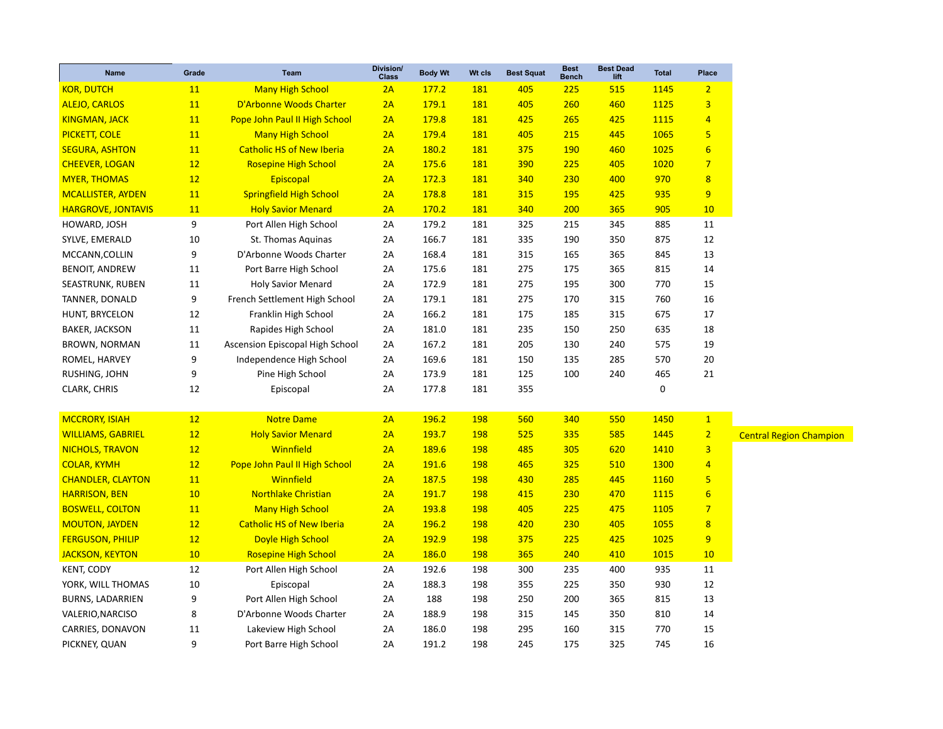| <b>Class</b><br><b>Bench</b><br>lift<br><b>KOR, DUTCH</b><br>177.2<br>181<br>515<br>$\overline{2}$<br><b>11</b><br><b>Many High School</b><br>2A<br>405<br>225<br>1145<br>179.1<br>181<br>405<br>1125<br>$\overline{\mathbf{3}}$<br><b>ALEJO, CARLOS</b><br>11<br>D'Arbonne Woods Charter<br>2A<br>260<br>460<br>Pope John Paul II High School<br>179.8<br>181<br>$\overline{4}$<br><b>KINGMAN, JACK</b><br>11<br>2A<br>425<br>265<br>425<br>1115<br>5<br><b>PICKETT, COLE</b><br>11<br><b>Many High School</b><br>2A<br>179.4<br>181<br>405<br>215<br>445<br>1065<br>$6\phantom{1}6$<br>11<br><b>Catholic HS of New Iberia</b><br>2A<br>180.2<br>181<br>375<br><b>190</b><br>460<br>1025<br><b>SEGURA, ASHTON</b><br>$\overline{7}$<br><b>CHEEVER, LOGAN</b><br>12<br><b>Rosepine High School</b><br>2A<br>175.6<br>181<br>390<br>225<br>405<br>1020<br>181<br>970<br>$\overline{\mathbf{8}}$<br><b>MYER, THOMAS</b><br>12<br>Episcopal<br>2A<br>172.3<br>340<br>230<br>400<br><b>Springfield High School</b><br>178.8<br>935<br>9<br><b>MCALLISTER, AYDEN</b><br>11<br>2A<br><b>181</b><br>315<br>195<br>425<br>11<br>170.2<br>200<br>905<br><b>HARGROVE, JONTAVIS</b><br><b>Holy Savior Menard</b><br>2A<br><b>181</b><br>340<br>365<br>10<br>9<br>179.2<br>181<br>325<br>215<br>885<br>11<br>HOWARD, JOSH<br>Port Allen High School<br>2A<br>345<br>10<br>166.7<br>181<br>335<br>190<br>350<br>875<br>12<br>SYLVE, EMERALD<br>St. Thomas Aquinas<br>2A<br>9<br>181<br>845<br>13<br>D'Arbonne Woods Charter<br>168.4<br>315<br>365<br>MCCANN, COLLIN<br>2A<br>165<br>181<br>275<br>815<br><b>BENOIT, ANDREW</b><br>11<br>Port Barre High School<br>2A<br>175.6<br>175<br>365<br>14<br>770<br>SEASTRUNK, RUBEN<br>11<br><b>Holy Savior Menard</b><br>2A<br>172.9<br>181<br>275<br>195<br>300<br>15<br>9<br>179.1<br>181<br>275<br>315<br>760<br>16<br>TANNER, DONALD<br>French Settlement High School<br>2A<br>170<br>675<br>HUNT, BRYCELON<br>12<br>Franklin High School<br>2A<br>166.2<br>181<br>175<br>185<br>315<br>17<br>181.0<br>181<br>235<br>635<br>18<br><b>BAKER, JACKSON</b><br>11<br>Rapides High School<br>2A<br>150<br>250<br>BROWN, NORMAN<br>Ascension Episcopal High School<br>167.2<br>181<br>205<br>130<br>240<br>575<br>19<br>11<br>2A<br>9<br>570<br>20<br>ROMEL, HARVEY<br>Independence High School<br>2A<br>169.6<br>181<br>150<br>135<br>285<br>9<br>181<br>125<br>100<br>465<br>21<br>RUSHING, JOHN<br>Pine High School<br>2A<br>173.9<br>240<br>181<br>355<br>0<br>CLARK, CHRIS<br>12<br>Episcopal<br>2A<br>177.8 |
|-----------------------------------------------------------------------------------------------------------------------------------------------------------------------------------------------------------------------------------------------------------------------------------------------------------------------------------------------------------------------------------------------------------------------------------------------------------------------------------------------------------------------------------------------------------------------------------------------------------------------------------------------------------------------------------------------------------------------------------------------------------------------------------------------------------------------------------------------------------------------------------------------------------------------------------------------------------------------------------------------------------------------------------------------------------------------------------------------------------------------------------------------------------------------------------------------------------------------------------------------------------------------------------------------------------------------------------------------------------------------------------------------------------------------------------------------------------------------------------------------------------------------------------------------------------------------------------------------------------------------------------------------------------------------------------------------------------------------------------------------------------------------------------------------------------------------------------------------------------------------------------------------------------------------------------------------------------------------------------------------------------------------------------------------------------------------------------------------------------------------------------------------------------------------------------------------------------------------------------------------------------------------------------------------------------------------------------------------------------------------------------------------------------------------------------------------------------------------------------------------------------------------------------------------|
|                                                                                                                                                                                                                                                                                                                                                                                                                                                                                                                                                                                                                                                                                                                                                                                                                                                                                                                                                                                                                                                                                                                                                                                                                                                                                                                                                                                                                                                                                                                                                                                                                                                                                                                                                                                                                                                                                                                                                                                                                                                                                                                                                                                                                                                                                                                                                                                                                                                                                                                                               |
|                                                                                                                                                                                                                                                                                                                                                                                                                                                                                                                                                                                                                                                                                                                                                                                                                                                                                                                                                                                                                                                                                                                                                                                                                                                                                                                                                                                                                                                                                                                                                                                                                                                                                                                                                                                                                                                                                                                                                                                                                                                                                                                                                                                                                                                                                                                                                                                                                                                                                                                                               |
|                                                                                                                                                                                                                                                                                                                                                                                                                                                                                                                                                                                                                                                                                                                                                                                                                                                                                                                                                                                                                                                                                                                                                                                                                                                                                                                                                                                                                                                                                                                                                                                                                                                                                                                                                                                                                                                                                                                                                                                                                                                                                                                                                                                                                                                                                                                                                                                                                                                                                                                                               |
|                                                                                                                                                                                                                                                                                                                                                                                                                                                                                                                                                                                                                                                                                                                                                                                                                                                                                                                                                                                                                                                                                                                                                                                                                                                                                                                                                                                                                                                                                                                                                                                                                                                                                                                                                                                                                                                                                                                                                                                                                                                                                                                                                                                                                                                                                                                                                                                                                                                                                                                                               |
|                                                                                                                                                                                                                                                                                                                                                                                                                                                                                                                                                                                                                                                                                                                                                                                                                                                                                                                                                                                                                                                                                                                                                                                                                                                                                                                                                                                                                                                                                                                                                                                                                                                                                                                                                                                                                                                                                                                                                                                                                                                                                                                                                                                                                                                                                                                                                                                                                                                                                                                                               |
|                                                                                                                                                                                                                                                                                                                                                                                                                                                                                                                                                                                                                                                                                                                                                                                                                                                                                                                                                                                                                                                                                                                                                                                                                                                                                                                                                                                                                                                                                                                                                                                                                                                                                                                                                                                                                                                                                                                                                                                                                                                                                                                                                                                                                                                                                                                                                                                                                                                                                                                                               |
|                                                                                                                                                                                                                                                                                                                                                                                                                                                                                                                                                                                                                                                                                                                                                                                                                                                                                                                                                                                                                                                                                                                                                                                                                                                                                                                                                                                                                                                                                                                                                                                                                                                                                                                                                                                                                                                                                                                                                                                                                                                                                                                                                                                                                                                                                                                                                                                                                                                                                                                                               |
|                                                                                                                                                                                                                                                                                                                                                                                                                                                                                                                                                                                                                                                                                                                                                                                                                                                                                                                                                                                                                                                                                                                                                                                                                                                                                                                                                                                                                                                                                                                                                                                                                                                                                                                                                                                                                                                                                                                                                                                                                                                                                                                                                                                                                                                                                                                                                                                                                                                                                                                                               |
|                                                                                                                                                                                                                                                                                                                                                                                                                                                                                                                                                                                                                                                                                                                                                                                                                                                                                                                                                                                                                                                                                                                                                                                                                                                                                                                                                                                                                                                                                                                                                                                                                                                                                                                                                                                                                                                                                                                                                                                                                                                                                                                                                                                                                                                                                                                                                                                                                                                                                                                                               |
|                                                                                                                                                                                                                                                                                                                                                                                                                                                                                                                                                                                                                                                                                                                                                                                                                                                                                                                                                                                                                                                                                                                                                                                                                                                                                                                                                                                                                                                                                                                                                                                                                                                                                                                                                                                                                                                                                                                                                                                                                                                                                                                                                                                                                                                                                                                                                                                                                                                                                                                                               |
|                                                                                                                                                                                                                                                                                                                                                                                                                                                                                                                                                                                                                                                                                                                                                                                                                                                                                                                                                                                                                                                                                                                                                                                                                                                                                                                                                                                                                                                                                                                                                                                                                                                                                                                                                                                                                                                                                                                                                                                                                                                                                                                                                                                                                                                                                                                                                                                                                                                                                                                                               |
|                                                                                                                                                                                                                                                                                                                                                                                                                                                                                                                                                                                                                                                                                                                                                                                                                                                                                                                                                                                                                                                                                                                                                                                                                                                                                                                                                                                                                                                                                                                                                                                                                                                                                                                                                                                                                                                                                                                                                                                                                                                                                                                                                                                                                                                                                                                                                                                                                                                                                                                                               |
|                                                                                                                                                                                                                                                                                                                                                                                                                                                                                                                                                                                                                                                                                                                                                                                                                                                                                                                                                                                                                                                                                                                                                                                                                                                                                                                                                                                                                                                                                                                                                                                                                                                                                                                                                                                                                                                                                                                                                                                                                                                                                                                                                                                                                                                                                                                                                                                                                                                                                                                                               |
|                                                                                                                                                                                                                                                                                                                                                                                                                                                                                                                                                                                                                                                                                                                                                                                                                                                                                                                                                                                                                                                                                                                                                                                                                                                                                                                                                                                                                                                                                                                                                                                                                                                                                                                                                                                                                                                                                                                                                                                                                                                                                                                                                                                                                                                                                                                                                                                                                                                                                                                                               |
|                                                                                                                                                                                                                                                                                                                                                                                                                                                                                                                                                                                                                                                                                                                                                                                                                                                                                                                                                                                                                                                                                                                                                                                                                                                                                                                                                                                                                                                                                                                                                                                                                                                                                                                                                                                                                                                                                                                                                                                                                                                                                                                                                                                                                                                                                                                                                                                                                                                                                                                                               |
|                                                                                                                                                                                                                                                                                                                                                                                                                                                                                                                                                                                                                                                                                                                                                                                                                                                                                                                                                                                                                                                                                                                                                                                                                                                                                                                                                                                                                                                                                                                                                                                                                                                                                                                                                                                                                                                                                                                                                                                                                                                                                                                                                                                                                                                                                                                                                                                                                                                                                                                                               |
|                                                                                                                                                                                                                                                                                                                                                                                                                                                                                                                                                                                                                                                                                                                                                                                                                                                                                                                                                                                                                                                                                                                                                                                                                                                                                                                                                                                                                                                                                                                                                                                                                                                                                                                                                                                                                                                                                                                                                                                                                                                                                                                                                                                                                                                                                                                                                                                                                                                                                                                                               |
|                                                                                                                                                                                                                                                                                                                                                                                                                                                                                                                                                                                                                                                                                                                                                                                                                                                                                                                                                                                                                                                                                                                                                                                                                                                                                                                                                                                                                                                                                                                                                                                                                                                                                                                                                                                                                                                                                                                                                                                                                                                                                                                                                                                                                                                                                                                                                                                                                                                                                                                                               |
|                                                                                                                                                                                                                                                                                                                                                                                                                                                                                                                                                                                                                                                                                                                                                                                                                                                                                                                                                                                                                                                                                                                                                                                                                                                                                                                                                                                                                                                                                                                                                                                                                                                                                                                                                                                                                                                                                                                                                                                                                                                                                                                                                                                                                                                                                                                                                                                                                                                                                                                                               |
|                                                                                                                                                                                                                                                                                                                                                                                                                                                                                                                                                                                                                                                                                                                                                                                                                                                                                                                                                                                                                                                                                                                                                                                                                                                                                                                                                                                                                                                                                                                                                                                                                                                                                                                                                                                                                                                                                                                                                                                                                                                                                                                                                                                                                                                                                                                                                                                                                                                                                                                                               |
|                                                                                                                                                                                                                                                                                                                                                                                                                                                                                                                                                                                                                                                                                                                                                                                                                                                                                                                                                                                                                                                                                                                                                                                                                                                                                                                                                                                                                                                                                                                                                                                                                                                                                                                                                                                                                                                                                                                                                                                                                                                                                                                                                                                                                                                                                                                                                                                                                                                                                                                                               |
| <b>MCCRORY, ISIAH</b><br><b>Notre Dame</b><br>196.2<br>198<br>1450<br>$\overline{1}$<br>12<br>2A<br>560<br>340<br>550                                                                                                                                                                                                                                                                                                                                                                                                                                                                                                                                                                                                                                                                                                                                                                                                                                                                                                                                                                                                                                                                                                                                                                                                                                                                                                                                                                                                                                                                                                                                                                                                                                                                                                                                                                                                                                                                                                                                                                                                                                                                                                                                                                                                                                                                                                                                                                                                                         |
| $\overline{2}$<br><b>WILLIAMS, GABRIEL</b><br>12<br><b>Holy Savior Menard</b><br>2A<br>193.7<br>198<br>525<br>585<br>1445<br>335<br><b>Central Region Champion</b>                                                                                                                                                                                                                                                                                                                                                                                                                                                                                                                                                                                                                                                                                                                                                                                                                                                                                                                                                                                                                                                                                                                                                                                                                                                                                                                                                                                                                                                                                                                                                                                                                                                                                                                                                                                                                                                                                                                                                                                                                                                                                                                                                                                                                                                                                                                                                                            |
| Winnfield<br>$\overline{\mathbf{3}}$<br><b>NICHOLS, TRAVON</b><br>12<br>189.6<br>198<br>485<br>305<br>620<br>1410<br>2A                                                                                                                                                                                                                                                                                                                                                                                                                                                                                                                                                                                                                                                                                                                                                                                                                                                                                                                                                                                                                                                                                                                                                                                                                                                                                                                                                                                                                                                                                                                                                                                                                                                                                                                                                                                                                                                                                                                                                                                                                                                                                                                                                                                                                                                                                                                                                                                                                       |
| 12<br>Pope John Paul II High School<br>2A<br>191.6<br>198<br>325<br>510<br>1300<br>$\overline{4}$<br><b>COLAR, KYMH</b><br>465                                                                                                                                                                                                                                                                                                                                                                                                                                                                                                                                                                                                                                                                                                                                                                                                                                                                                                                                                                                                                                                                                                                                                                                                                                                                                                                                                                                                                                                                                                                                                                                                                                                                                                                                                                                                                                                                                                                                                                                                                                                                                                                                                                                                                                                                                                                                                                                                                |
| Winnfield<br>5<br>11<br>2A<br>187.5<br>198<br>430<br>285<br>1160<br><b>CHANDLER, CLAYTON</b><br>445                                                                                                                                                                                                                                                                                                                                                                                                                                                                                                                                                                                                                                                                                                                                                                                                                                                                                                                                                                                                                                                                                                                                                                                                                                                                                                                                                                                                                                                                                                                                                                                                                                                                                                                                                                                                                                                                                                                                                                                                                                                                                                                                                                                                                                                                                                                                                                                                                                           |
| <b>Northlake Christian</b><br>191.7<br>$6\phantom{1}6$<br><b>HARRISON, BEN</b><br>10<br>2A<br><b>198</b><br>415<br>230<br>470<br>1115                                                                                                                                                                                                                                                                                                                                                                                                                                                                                                                                                                                                                                                                                                                                                                                                                                                                                                                                                                                                                                                                                                                                                                                                                                                                                                                                                                                                                                                                                                                                                                                                                                                                                                                                                                                                                                                                                                                                                                                                                                                                                                                                                                                                                                                                                                                                                                                                         |
| $\overline{7}$<br>225<br>1105<br><b>BOSWELL, COLTON</b><br>11<br><b>Many High School</b><br>2A<br>193.8<br>198<br>405<br>475                                                                                                                                                                                                                                                                                                                                                                                                                                                                                                                                                                                                                                                                                                                                                                                                                                                                                                                                                                                                                                                                                                                                                                                                                                                                                                                                                                                                                                                                                                                                                                                                                                                                                                                                                                                                                                                                                                                                                                                                                                                                                                                                                                                                                                                                                                                                                                                                                  |
| 12<br><b>Catholic HS of New Iberia</b><br>196.2<br>198<br>420<br>230<br>405<br>1055<br>$\boldsymbol{8}$<br><b>MOUTON, JAYDEN</b><br>2A                                                                                                                                                                                                                                                                                                                                                                                                                                                                                                                                                                                                                                                                                                                                                                                                                                                                                                                                                                                                                                                                                                                                                                                                                                                                                                                                                                                                                                                                                                                                                                                                                                                                                                                                                                                                                                                                                                                                                                                                                                                                                                                                                                                                                                                                                                                                                                                                        |
| 12<br>Doyle High School<br>192.9<br>198<br>375<br>225<br>425<br>1025<br>9<br><b>FERGUSON, PHILIP</b><br>2A                                                                                                                                                                                                                                                                                                                                                                                                                                                                                                                                                                                                                                                                                                                                                                                                                                                                                                                                                                                                                                                                                                                                                                                                                                                                                                                                                                                                                                                                                                                                                                                                                                                                                                                                                                                                                                                                                                                                                                                                                                                                                                                                                                                                                                                                                                                                                                                                                                    |
| 10<br>198<br>186.0<br>365<br>240<br>410<br>1015<br>10<br><b>JACKSON, KEYTON</b><br><b>Rosepine High School</b><br>2A                                                                                                                                                                                                                                                                                                                                                                                                                                                                                                                                                                                                                                                                                                                                                                                                                                                                                                                                                                                                                                                                                                                                                                                                                                                                                                                                                                                                                                                                                                                                                                                                                                                                                                                                                                                                                                                                                                                                                                                                                                                                                                                                                                                                                                                                                                                                                                                                                          |
| 935<br><b>KENT, CODY</b><br>12<br>Port Allen High School<br>192.6<br>198<br>300<br>235<br>400<br>11<br>2A                                                                                                                                                                                                                                                                                                                                                                                                                                                                                                                                                                                                                                                                                                                                                                                                                                                                                                                                                                                                                                                                                                                                                                                                                                                                                                                                                                                                                                                                                                                                                                                                                                                                                                                                                                                                                                                                                                                                                                                                                                                                                                                                                                                                                                                                                                                                                                                                                                     |
| YORK, WILL THOMAS<br>10<br>2A<br>188.3<br>198<br>355<br>225<br>350<br>930<br>12<br>Episcopal                                                                                                                                                                                                                                                                                                                                                                                                                                                                                                                                                                                                                                                                                                                                                                                                                                                                                                                                                                                                                                                                                                                                                                                                                                                                                                                                                                                                                                                                                                                                                                                                                                                                                                                                                                                                                                                                                                                                                                                                                                                                                                                                                                                                                                                                                                                                                                                                                                                  |
| 9<br>Port Allen High School<br>188<br>198<br>200<br>365<br>815<br>13<br>2A<br>250<br>BURNS, LADARRIEN                                                                                                                                                                                                                                                                                                                                                                                                                                                                                                                                                                                                                                                                                                                                                                                                                                                                                                                                                                                                                                                                                                                                                                                                                                                                                                                                                                                                                                                                                                                                                                                                                                                                                                                                                                                                                                                                                                                                                                                                                                                                                                                                                                                                                                                                                                                                                                                                                                         |
| D'Arbonne Woods Charter<br>VALERIO, NARCISO<br>8<br>2A<br>188.9<br>198<br>315<br>145<br>350<br>810<br>14                                                                                                                                                                                                                                                                                                                                                                                                                                                                                                                                                                                                                                                                                                                                                                                                                                                                                                                                                                                                                                                                                                                                                                                                                                                                                                                                                                                                                                                                                                                                                                                                                                                                                                                                                                                                                                                                                                                                                                                                                                                                                                                                                                                                                                                                                                                                                                                                                                      |
| 198<br>295<br>770<br>15<br>CARRIES, DONAVON<br>Lakeview High School<br>2A<br>186.0<br>160<br>315<br>11                                                                                                                                                                                                                                                                                                                                                                                                                                                                                                                                                                                                                                                                                                                                                                                                                                                                                                                                                                                                                                                                                                                                                                                                                                                                                                                                                                                                                                                                                                                                                                                                                                                                                                                                                                                                                                                                                                                                                                                                                                                                                                                                                                                                                                                                                                                                                                                                                                        |
| PICKNEY, QUAN<br>9<br>2A<br>191.2<br>198<br>245<br>175<br>325<br>745<br>16<br>Port Barre High School                                                                                                                                                                                                                                                                                                                                                                                                                                                                                                                                                                                                                                                                                                                                                                                                                                                                                                                                                                                                                                                                                                                                                                                                                                                                                                                                                                                                                                                                                                                                                                                                                                                                                                                                                                                                                                                                                                                                                                                                                                                                                                                                                                                                                                                                                                                                                                                                                                          |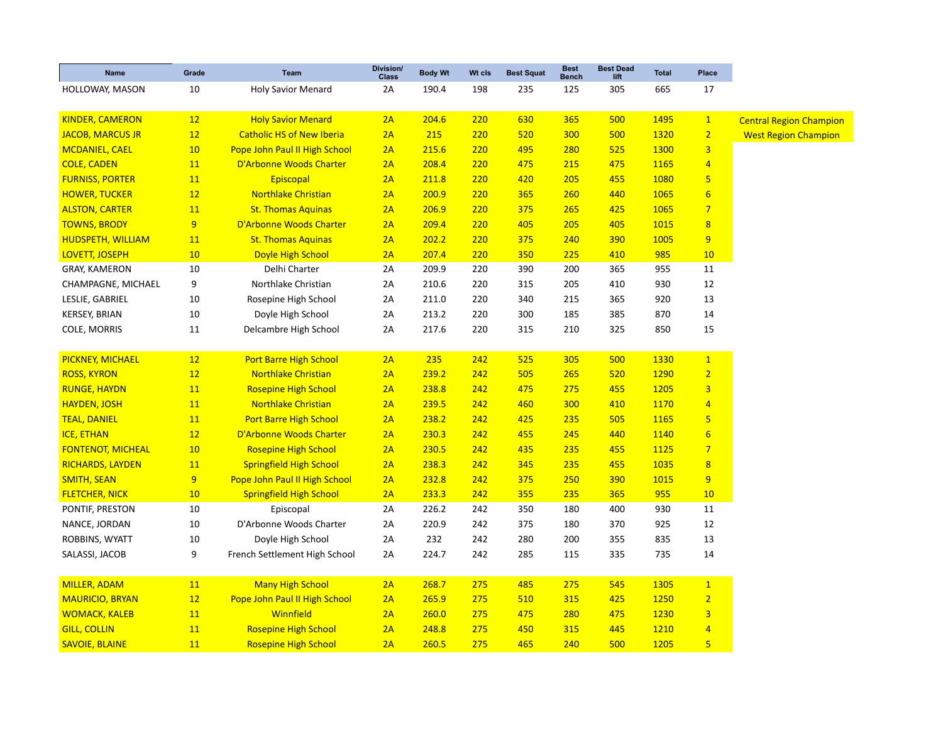| <b>Name</b>              | Grade     | Team                             | Division/<br><b>Class</b> | <b>Body Wt</b> | Wt cls | <b>Best Squat</b> | <b>Best</b><br><b>Bench</b> | <b>Best Dead</b><br>lift | <b>Total</b> | Place                   |                                |
|--------------------------|-----------|----------------------------------|---------------------------|----------------|--------|-------------------|-----------------------------|--------------------------|--------------|-------------------------|--------------------------------|
| HOLLOWAY, MASON          | 10        | <b>Holy Savior Menard</b>        | 2A                        | 190.4          | 198    | 235               | 125                         | 305                      | 665          | 17                      |                                |
| <b>KINDER, CAMERON</b>   | 12        | <b>Holy Savior Menard</b>        | 2A                        | 204.6          | 220    | 630               | 365                         | 500                      | 1495         | $\mathbf{1}$            |                                |
| <b>JACOB, MARCUS JR</b>  | 12        | <b>Catholic HS of New Iberia</b> | 2A                        | 215            | 220    | 520               | 300                         | 500                      | 1320         | $\overline{2}$          | <b>Central Region Champion</b> |
| <b>MCDANIEL, CAEL</b>    | 10        | Pope John Paul II High School    | 2A                        | 215.6          | 220    | 495               | 280                         | 525                      | 1300         | $\overline{\mathbf{3}}$ | <b>West Region Champion</b>    |
| <b>COLE, CADEN</b>       | 11        | D'Arbonne Woods Charter          | 2A                        | 208.4          | 220    | 475               | 215                         | 475                      | 1165         | $\overline{4}$          |                                |
| <b>FURNISS, PORTER</b>   | 11        | Episcopal                        | 2A                        | 211.8          | 220    | 420               | 205                         | 455                      | 1080         | 5                       |                                |
|                          | 12        | <b>Northlake Christian</b>       | 2A                        | 200.9          | 220    | 365               |                             |                          | 1065         |                         |                                |
| <b>HOWER, TUCKER</b>     |           |                                  |                           |                |        |                   | 260                         | 440                      |              | $6\phantom{1}6$         |                                |
| <b>ALSTON, CARTER</b>    | 11        | <b>St. Thomas Aquinas</b>        | 2A                        | 206.9          | 220    | 375               | 265                         | 425                      | 1065         | $\overline{7}$          |                                |
| <b>TOWNS, BRODY</b>      | 9         | D'Arbonne Woods Charter          | 2A                        | 209.4          | 220    | 405               | 205                         | 405                      | 1015         | $\overline{8}$          |                                |
| <b>HUDSPETH, WILLIAM</b> | 11        | <b>St. Thomas Aquinas</b>        | 2A                        | 202.2          | 220    | 375               | 240                         | 390                      | 1005         | 9                       |                                |
| LOVETT, JOSEPH           | 10        | <b>Doyle High School</b>         | 2A                        | 207.4          | 220    | 350               | 225                         | 410                      | 985          | 10                      |                                |
| <b>GRAY, KAMERON</b>     | 10        | Delhi Charter                    | 2A                        | 209.9          | 220    | 390               | 200                         | 365                      | 955          | 11                      |                                |
| CHAMPAGNE, MICHAEL       | 9         | Northlake Christian              | 2A                        | 210.6          | 220    | 315               | 205                         | 410                      | 930          | 12                      |                                |
| LESLIE, GABRIEL          | 10        | Rosepine High School             | 2A                        | 211.0          | 220    | 340               | 215                         | 365                      | 920          | 13                      |                                |
| <b>KERSEY, BRIAN</b>     | 10        | Doyle High School                | 2A                        | 213.2          | 220    | 300               | 185                         | 385                      | 870          | 14                      |                                |
| COLE, MORRIS             | 11        | Delcambre High School            | 2A                        | 217.6          | 220    | 315               | 210                         | 325                      | 850          | 15                      |                                |
|                          |           |                                  |                           |                |        |                   |                             |                          |              |                         |                                |
| <b>PICKNEY, MICHAEL</b>  | 12        | <b>Port Barre High School</b>    | 2A                        | 235            | 242    | 525               | 305                         | 500                      | 1330         | $\mathbf{1}$            |                                |
| <b>ROSS, KYRON</b>       | 12        | <b>Northlake Christian</b>       | 2A                        | 239.2          | 242    | 505               | 265                         | 520                      | 1290         | $\overline{2}$          |                                |
| <b>RUNGE, HAYDN</b>      | 11        | <b>Rosepine High School</b>      | 2A                        | 238.8          | 242    | 475               | 275                         | 455                      | 1205         | 3                       |                                |
| <b>HAYDEN, JOSH</b>      | 11        | <b>Northlake Christian</b>       | 2A                        | 239.5          | 242    | 460               | 300                         | 410                      | 1170         | $\overline{4}$          |                                |
| <b>TEAL, DANIEL</b>      | 11        | <b>Port Barre High School</b>    | 2A                        | 238.2          | 242    | 425               | 235                         | 505                      | 1165         | 5                       |                                |
| <b>ICE, ETHAN</b>        | 12        | D'Arbonne Woods Charter          | 2A                        | 230.3          | 242    | 455               | 245                         | 440                      | 1140         | $6\phantom{1}6$         |                                |
| <b>FONTENOT, MICHEAL</b> | 10        | <b>Rosepine High School</b>      | 2A                        | 230.5          | 242    | 435               | 235                         | 455                      | 1125         | $\overline{7}$          |                                |
| <b>RICHARDS, LAYDEN</b>  | 11        | <b>Springfield High School</b>   | 2A                        | 238.3          | 242    | 345               | 235                         | 455                      | 1035         | $\overline{\mathbf{8}}$ |                                |
| <b>SMITH, SEAN</b>       | 9         | Pope John Paul II High School    | 2A                        | 232.8          | 242    | 375               | 250                         | 390                      | 1015         | 9                       |                                |
| <b>FLETCHER, NICK</b>    | 10        | <b>Springfield High School</b>   | 2A                        | 233.3          | 242    | 355               | 235                         | 365                      | 955          | 10                      |                                |
| PONTIF, PRESTON          | 10        | Episcopal                        | 2A                        | 226.2          | 242    | 350               | 180                         | 400                      | 930          | 11                      |                                |
| NANCE, JORDAN            | 10        | D'Arbonne Woods Charter          | 2A                        | 220.9          | 242    | 375               | 180                         | 370                      | 925          | 12                      |                                |
| ROBBINS, WYATT           | 10        | Doyle High School                | 2A                        | 232            | 242    | 280               | 200                         | 355                      | 835          | 13                      |                                |
| SALASSI, JACOB           | 9         | French Settlement High School    | 2A                        | 224.7          | 242    | 285               | 115                         | 335                      | 735          | 14                      |                                |
|                          |           |                                  |                           |                |        |                   |                             |                          |              |                         |                                |
| <b>MILLER, ADAM</b>      | 11        | <b>Many High School</b>          | 2A                        | 268.7          | 275    | 485               | 275                         | 545                      | 1305         | $\overline{1}$          |                                |
| <b>MAURICIO, BRYAN</b>   | 12        | Pope John Paul II High School    | 2A                        | 265.9          | 275    | 510               | 315                         | 425                      | 1250         | $\overline{2}$          |                                |
| <b>WOMACK, KALEB</b>     | 11        | Winnfield                        | 2A                        | 260.0          | 275    | 475               | 280                         | 475                      | 1230         | $\overline{\mathbf{3}}$ |                                |
| <b>GILL, COLLIN</b>      | <b>11</b> | <b>Rosepine High School</b>      | 2A                        | 248.8          | 275    | 450               | 315                         | 445                      | 1210         | $\overline{4}$          |                                |
| <b>SAVOIE, BLAINE</b>    | 11        | <b>Rosepine High School</b>      | 2A                        | 260.5          | 275    | 465               | 240                         | 500                      | 1205         | 5                       |                                |